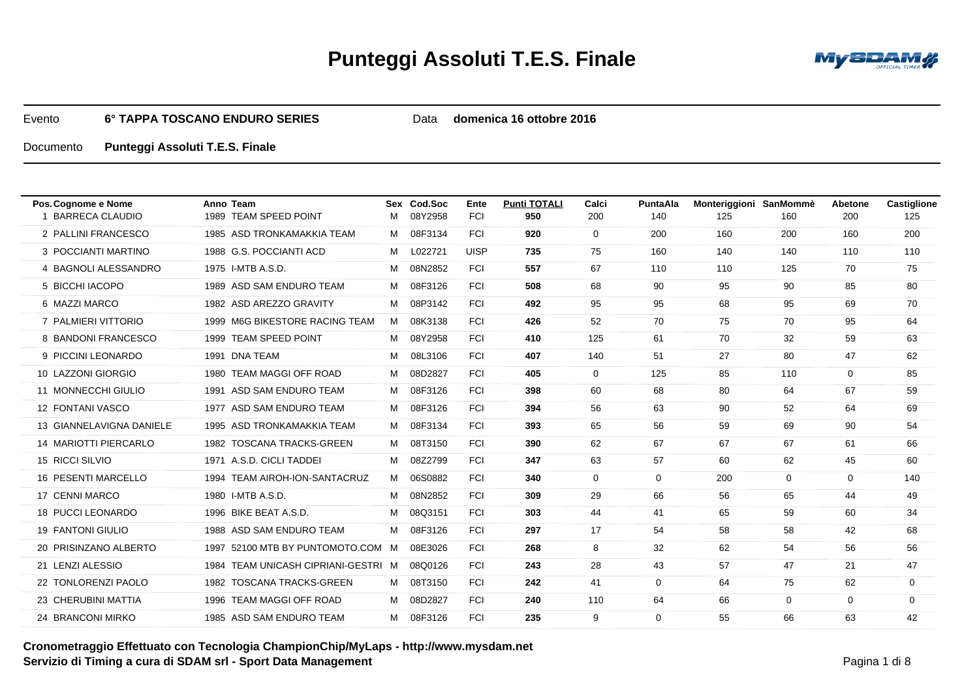

Data **domenica 16 ottobre 2016**

| Pos. Cognome e Nome        | Anno Team                           |   | Sex Cod.Soc | Ente        | <b>Punti TOTALI</b> | Calci       | PuntaAla | Monteriggioni SanMommè |              | Abetone  | <b>Castiglione</b> |
|----------------------------|-------------------------------------|---|-------------|-------------|---------------------|-------------|----------|------------------------|--------------|----------|--------------------|
| 1 BARRECA CLAUDIO          | 1989 TEAM SPEED POINT               | м | 08Y2958     | <b>FCI</b>  | 950                 | 200         | 140      | 125                    | 160          | 200      | 125                |
| 2 PALLINI FRANCESCO        | 1985 ASD TRONKAMAKKIA TEAM          | M | 08F3134     | <b>FCI</b>  | 920                 | $\mathbf 0$ | 200      | 160                    | 200          | 160      | 200                |
| 3 POCCIANTI MARTINO        | 1988 G.S. POCCIANTI ACD             | M | L022721     | <b>UISP</b> | 735                 | 75          | 160      | 140                    | 140          | 110      | 110                |
| 4 BAGNOLI ALESSANDRO       | 1975 I-MTB A.S.D.                   | M | 08N2852     | <b>FCI</b>  | 557                 | 67          | 110      | 110                    | 125          | 70       | 75                 |
| 5 BICCHI IACOPO            | 1989 ASD SAM ENDURO TEAM            | M | 08F3126     | <b>FCI</b>  | 508                 | 68          | 90       | 95                     | 90           | 85       | 80                 |
| 6 MAZZI MARCO              | 1982 ASD AREZZO GRAVITY             | M | 08P3142     | <b>FCI</b>  | 492                 | 95          | 95       | 68                     | 95           | 69       | 70                 |
| 7 PALMIERI VITTORIO        | 1999 M6G BIKESTORE RACING TEAM      | M | 08K3138     | <b>FCI</b>  | 426                 | 52          | 70       | 75                     | 70           | 95       | 64                 |
| 8 BANDONI FRANCESCO        | 1999 TEAM SPEED POINT               | M | 08Y2958     | <b>FCI</b>  | 410                 | 125         | 61       | 70                     | 32           | 59       | 63                 |
| 9 PICCINI LEONARDO         | 1991 DNA TEAM                       | М | 08L3106     | <b>FCI</b>  | 407                 | 140         | 51       | 27                     | 80           | 47       | 62                 |
| 10 LAZZONI GIORGIO         | 1980 TEAM MAGGI OFF ROAD            | M | 08D2827     | <b>FCI</b>  | 405                 | $\Omega$    | 125      | 85                     | 110          | $\Omega$ | 85                 |
| 11 MONNECCHI GIULIO        | 1991 ASD SAM ENDURO TEAM            | M | 08F3126     | <b>FCI</b>  | 398                 | 60          | 68       | 80                     | 64           | 67       | 59                 |
| 12 FONTANI VASCO           | 1977 ASD SAM ENDURO TEAM            | M | 08F3126     | <b>FCI</b>  | 394                 | 56          | 63       | 90                     | 52           | 64       | 69                 |
| 13 GIANNELAVIGNA DANIELE   | 1995 ASD TRONKAMAKKIA TEAM          | M | 08F3134     | <b>FCI</b>  | 393                 | 65          | 56       | 59                     | 69           | 90       | 54                 |
| 14 MARIOTTI PIERCARLO      | 1982 TOSCANA TRACKS-GREEN           | M | 08T3150     | <b>FCI</b>  | 390                 | 62          | 67       | 67                     | 67           | 61       | 66                 |
| 15 RICCI SILVIO            | 1971 A.S.D. CICLI TADDEI            | M | 08Z2799     | <b>FCI</b>  | 347                 | 63          | 57       | 60                     | 62           | 45       | 60                 |
| <b>16 PESENTI MARCELLO</b> | 1994 TEAM AIROH-ION-SANTACRUZ       | M | 06S0882     | <b>FCI</b>  | 340                 | $\mathbf 0$ | $\Omega$ | 200                    | $\mathbf{0}$ | $\Omega$ | 140                |
| 17 CENNI MARCO             | 1980 I-MTB A.S.D.                   | M | 08N2852     | <b>FCI</b>  | 309                 | 29          | 66       | 56                     | 65           | 44       | 49                 |
| 18 PUCCI LEONARDO          | 1996 BIKE BEAT A.S.D.               | M | 08Q3151     | <b>FCI</b>  | 303                 | 44          | 41       | 65                     | 59           | 60       | 34                 |
| <b>19 FANTONI GIULIO</b>   | 1988 ASD SAM ENDURO TEAM            | M | 08F3126     | <b>FCI</b>  | 297                 | 17          | 54       | 58                     | 58           | 42       | 68                 |
| 20 PRISINZANO ALBERTO      | 1997 52100 MTB BY PUNTOMOTO.COM M   |   | 08E3026     | <b>FCI</b>  | 268                 | 8           | 32       | 62                     | 54           | 56       | 56                 |
| 21 LENZI ALESSIO           | 1984 TEAM UNICASH CIPRIANI-GESTRI M |   | 08Q0126     | <b>FCI</b>  | 243                 | 28          | 43       | 57                     | 47           | 21       | 47                 |
| 22 TONLORENZI PAOLO        | 1982 TOSCANA TRACKS-GREEN           | M | 08T3150     | <b>FCI</b>  | 242                 | 41          | $\Omega$ | 64                     | 75           | 62       | $\mathbf 0$        |
| 23 CHERUBINI MATTIA        | 1996 TEAM MAGGI OFF ROAD            | м | 08D2827     | <b>FCI</b>  | 240                 | 110         | 64       | 66                     | $\mathbf{0}$ | 0        | $\mathbf 0$        |
| 24 BRANCONI MIRKO          | 1985 ASD SAM ENDURO TEAM            | M | 08F3126     | <b>FCI</b>  | 235                 | 9           | $\Omega$ | 55                     | 66           | 63       | 42                 |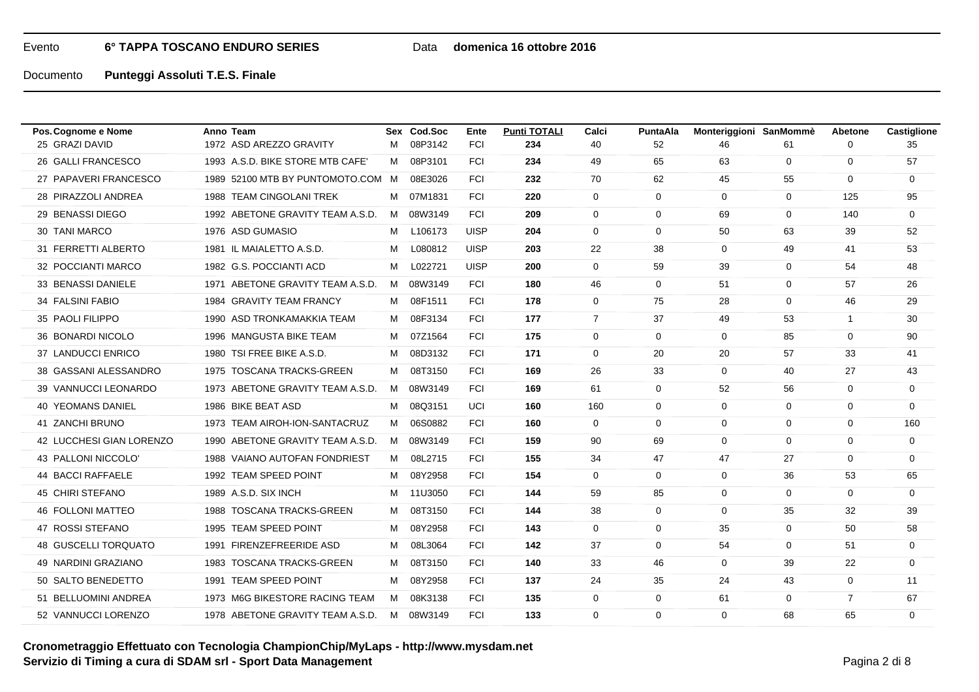## Data **domenica 16 ottobre 2016**

| Pos. Cognome e Nome         | Anno Team                        |   | Sex Cod.Soc | Ente        | <b>Punti TOTALI</b> | Calci          | PuntaAla    | Monteriggioni SanMommè |              | <b>Abetone</b> | Castiglione |
|-----------------------------|----------------------------------|---|-------------|-------------|---------------------|----------------|-------------|------------------------|--------------|----------------|-------------|
| 25 GRAZI DAVID              | 1972 ASD AREZZO GRAVITY          | м | 08P3142     | <b>FCI</b>  | 234                 | 40             | 52          | 46                     | 61           | 0              | 35          |
| 26 GALLI FRANCESCO          | 1993 A.S.D. BIKE STORE MTB CAFE  | M | 08P3101     | <b>FCI</b>  | 234                 | 49             | 65          | 63                     | $\mathbf 0$  | $\mathbf 0$    | 57          |
| 27 PAPAVERI FRANCESCO       | 1989 52100 MTB BY PUNTOMOTO.COM  | M | 08E3026     | <b>FCI</b>  | 232                 | 70             | 62          | 45                     | 55           | $\mathbf 0$    | $\mathbf 0$ |
| 28 PIRAZZOLI ANDREA         | 1988 TEAM CINGOLANI TREK         |   | M 07M1831   | <b>FCI</b>  | 220                 | $\mathbf 0$    | $\mathbf 0$ | $\Omega$               | $\mathbf 0$  | 125            | 95          |
| 29 BENASSI DIEGO            | 1992 ABETONE GRAVITY TEAM A.S.D. | M | 08W3149     | <b>FCI</b>  | 209                 | $\mathbf 0$    | $\mathbf 0$ | 69                     | $\mathbf 0$  | 140            | $\mathbf 0$ |
| 30 TANI MARCO               | 1976 ASD GUMASIO                 | M | L106173     | <b>UISP</b> | 204                 | $\mathbf 0$    | $\Omega$    | 50                     | 63           | 39             | 52          |
| 31 FERRETTI ALBERTO         | 1981 IL MAIALETTO A.S.D.         | M | L080812     | <b>UISP</b> | 203                 | 22             | 38          | 0                      | 49           | 41             | 53          |
| 32 POCCIANTI MARCO          | 1982 G.S. POCCIANTI ACD          | м | L022721     | <b>UISP</b> | 200                 | $\mathbf 0$    | 59          | 39                     | 0            | 54             | 48          |
| 33 BENASSI DANIELE          | 1971 ABETONE GRAVITY TEAM A.S.D. | M | 08W3149     | <b>FCI</b>  | 180                 | 46             | $\mathbf 0$ | 51                     | 0            | 57             | 26          |
| 34 FALSINI FABIO            | 1984 GRAVITY TEAM FRANCY         | м | 08F1511     | <b>FCI</b>  | 178                 | $\mathbf 0$    | 75          | 28                     | $\mathbf 0$  | 46             | 29          |
| 35 PAOLI FILIPPO            | 1990 ASD TRONKAMAKKIA TEAM       | M | 08F3134     | <b>FCI</b>  | 177                 | $\overline{7}$ | 37          | 49                     | 53           | $\mathbf{1}$   | 30          |
| 36 BONARDI NICOLO           | 1996 MANGUSTA BIKE TEAM          | м | 07Z1564     | <b>FCI</b>  | 175                 | $\mathbf 0$    | $\mathbf 0$ | 0                      | 85           | $\Omega$       | 90          |
| 37 LANDUCCI ENRICO          | 1980 TSI FREE BIKE A.S.D.        | м | 08D3132     | <b>FCI</b>  | 171                 | $\mathbf 0$    | 20          | 20                     | 57           | 33             | 41          |
| 38 GASSANI ALESSANDRO       | 1975 TOSCANA TRACKS-GREEN        | M | 08T3150     | <b>FCI</b>  | 169                 | 26             | 33          | $\Omega$               | 40           | 27             | 43          |
| 39 VANNUCCI LEONARDO        | 1973 ABETONE GRAVITY TEAM A.S.D. | M | 08W3149     | <b>FCI</b>  | 169                 | 61             | $\mathbf 0$ | 52                     | 56           | 0              | 0           |
| 40 YEOMANS DANIEL           | 1986 BIKE BEAT ASD               | м | 08Q3151     | UCI         | 160                 | 160            | $\mathbf 0$ | $\mathbf 0$            | $\mathbf 0$  | $\mathbf 0$    | 0           |
| 41 ZANCHI BRUNO             | 1973 TEAM AIROH-ION-SANTACRUZ    | M | 06S0882     | <b>FCI</b>  | 160                 | $\Omega$       | $\Omega$    | $\Omega$               | $\mathbf 0$  | $\Omega$       | 160         |
| 42 LUCCHESI GIAN LORENZO    | 1990 ABETONE GRAVITY TEAM A.S.D. | M | 08W3149     | <b>FCI</b>  | 159                 | 90             | 69          | $\mathbf 0$            | $\mathbf 0$  | $\mathbf 0$    | 0           |
| 43 PALLONI NICCOLO'         | 1988 VAIANO AUTOFAN FONDRIEST    | М | 08L2715     | <b>FCI</b>  | 155                 | 34             | 47          | 47                     | 27           | $\mathbf 0$    | 0           |
| 44 BACCI RAFFAELE           | 1992 TEAM SPEED POINT            | м | 08Y2958     | <b>FCI</b>  | 154                 | 0              | $\mathbf 0$ | 0                      | 36           | 53             | 65          |
| 45 CHIRI STEFANO            | 1989 A.S.D. SIX INCH             | M | 11U3050     | <b>FCI</b>  | 144                 | 59             | 85          | $\mathbf 0$            | $\mathbf 0$  | $\Omega$       | $\mathbf 0$ |
| <b>46 FOLLONI MATTEO</b>    | 1988 TOSCANA TRACKS-GREEN        | м | 08T3150     | <b>FCI</b>  | 144                 | 38             | $\mathbf 0$ | $\Omega$               | 35           | 32             | 39          |
| 47 ROSSI STEFANO            | 1995 TEAM SPEED POINT            | м | 08Y2958     | <b>FCI</b>  | 143                 | $\mathbf 0$    | $\mathbf 0$ | 35                     | 0            | 50             | 58          |
| <b>48 GUSCELLI TORQUATO</b> | 1991 FIRENZEFREERIDE ASD         | М | 08L3064     | <b>FCI</b>  | 142                 | 37             | $\mathbf 0$ | 54                     | $\mathbf{0}$ | 51             | $\mathbf 0$ |
| 49 NARDINI GRAZIANO         | 1983 TOSCANA TRACKS-GREEN        | м | 08T3150     | <b>FCI</b>  | 140                 | 33             | 46          | 0                      | 39           | 22             | 0           |
| 50 SALTO BENEDETTO          | 1991 TEAM SPEED POINT            | м | 08Y2958     | <b>FCI</b>  | 137                 | 24             | 35          | 24                     | 43           | 0              | 11          |
| 51 BELLUOMINI ANDREA        | 1973 M6G BIKESTORE RACING TEAM   | M | 08K3138     | <b>FCI</b>  | 135                 | 0              | $\mathbf 0$ | 61                     | $\mathbf 0$  | $\overline{7}$ | 67          |
| 52 VANNUCCI LORENZO         | 1978 ABETONE GRAVITY TEAM A.S.D. |   | M 08W3149   | <b>FCI</b>  | 133                 | $\mathbf 0$    | $\Omega$    | $\Omega$               | 68           | 65             | $\mathbf 0$ |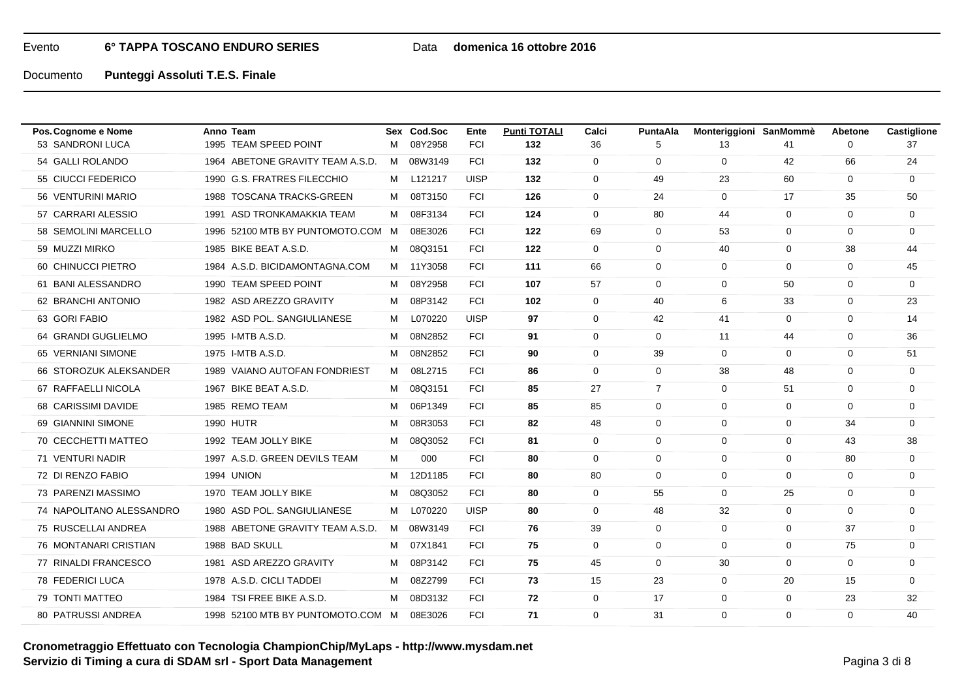## Data **domenica 16 ottobre 2016**

| Pos. Cognome e Nome       | Anno Team                         |   | Sex Cod.Soc | Ente        | <b>Punti TOTALI</b> | Calci       | <b>PuntaAla</b> | Monteriggioni SanMommè |             | Abetone     | Castiglione |
|---------------------------|-----------------------------------|---|-------------|-------------|---------------------|-------------|-----------------|------------------------|-------------|-------------|-------------|
| 53 SANDRONI LUCA          | 1995 TEAM SPEED POINT             | м | 08Y2958     | <b>FCI</b>  | 132                 | 36          | 5               | 13                     | 41          | 0           | 37          |
| 54 GALLI ROLANDO          | 1964 ABETONE GRAVITY TEAM A.S.D.  |   | M 08W3149   | <b>FCI</b>  | 132                 | $\mathbf 0$ | $\mathbf 0$     | $\mathbf 0$            | 42          | 66          | 24          |
| 55 CIUCCI FEDERICO        | 1990 G.S. FRATRES FILECCHIO       | M | L121217     | <b>UISP</b> | 132                 | $\mathbf 0$ | 49              | 23                     | 60          | 0           | $\mathbf 0$ |
| 56 VENTURINI MARIO        | 1988 TOSCANA TRACKS-GREEN         | M | 08T3150     | <b>FCI</b>  | 126                 | $\mathbf 0$ | 24              | $\Omega$               | 17          | 35          | 50          |
| 57 CARRARI ALESSIO        | 1991 ASD TRONKAMAKKIA TEAM        | м | 08F3134     | <b>FCI</b>  | 124                 | $\mathbf 0$ | 80              | 44                     | $\mathbf 0$ | $\mathbf 0$ | $\mathbf 0$ |
| 58 SEMOLINI MARCELLO      | 1996 52100 MTB BY PUNTOMOTO.COM   | M | 08E3026     | <b>FCI</b>  | 122                 | 69          | $\mathbf 0$     | 53                     | 0           | 0           | 0           |
| 59 MUZZI MIRKO            | 1985 BIKE BEAT A.S.D.             | м | 08Q3151     | <b>FCI</b>  | 122                 | $\mathbf 0$ | $\mathbf 0$     | 40                     | $\mathbf 0$ | 38          | 44          |
| 60 CHINUCCI PIETRO        | 1984 A.S.D. BICIDAMONTAGNA.COM    |   | M 11Y3058   | <b>FCI</b>  | 111                 | 66          | $\Omega$        | $\Omega$               | $\mathbf 0$ | $\Omega$    | 45          |
| 61 BANI ALESSANDRO        | 1990 TEAM SPEED POINT             | M | 08Y2958     | <b>FCI</b>  | 107                 | 57          | $\mathbf 0$     | 0                      | 50          | 0           | 0           |
| 62 BRANCHI ANTONIO        | 1982 ASD AREZZO GRAVITY           | М | 08P3142     | <b>FCI</b>  | 102                 | $\mathbf 0$ | 40              | 6                      | 33          | $\mathbf 0$ | 23          |
| 63 GORI FABIO             | 1982 ASD POL. SANGIULIANESE       | M | L070220     | <b>UISP</b> | 97                  | $\mathbf 0$ | 42              | 41                     | $\mathbf 0$ | $\Omega$    | 14          |
| 64 GRANDI GUGLIELMO       | 1995 I-MTB A.S.D.                 | м | 08N2852     | <b>FCI</b>  | 91                  | $\mathbf 0$ | $\mathbf 0$     | 11                     | 44          | $\mathbf 0$ | 36          |
| 65 VERNIANI SIMONE        | 1975 I-MTB A.S.D.                 | м | 08N2852     | <b>FCI</b>  | 90                  | $\mathbf 0$ | 39              | 0                      | 0           | $\Omega$    | 51          |
| 66 STOROZUK ALEKSANDER    | 1989 VAIANO AUTOFAN FONDRIEST     | M | 08L2715     | <b>FCI</b>  | 86                  | $\mathbf 0$ | $\mathbf 0$     | 38                     | 48          | 0           | 0           |
| 67 RAFFAELLI NICOLA       | 1967 BIKE BEAT A.S.D.             | M | 08Q3151     | <b>FCI</b>  | 85                  | 27          | $\overline{7}$  | 0                      | 51          | $\mathbf 0$ | 0           |
| 68 CARISSIMI DAVIDE       | 1985 REMO TEAM                    | м | 06P1349     | <b>FCI</b>  | 85                  | 85          | $\mathbf 0$     | 0                      | $\mathbf 0$ | 0           | 0           |
| 69 GIANNINI SIMONE        | <b>1990 HUTR</b>                  | м | 08R3053     | <b>FCI</b>  | 82                  | 48          | $\mathbf 0$     | $\mathbf 0$            | 0           | 34          | $\mathbf 0$ |
| 70 CECCHETTI MATTEO       | 1992 TEAM JOLLY BIKE              |   | M 08Q3052   | <b>FCI</b>  | 81                  | $\mathbf 0$ | $\Omega$        | $\Omega$               | $\mathbf 0$ | 43          | 38          |
| 71 VENTURI NADIR          | 1997 A.S.D. GREEN DEVILS TEAM     | М | 000         | <b>FCI</b>  | 80                  | $\mathbf 0$ | $\mathbf 0$     | $\mathbf 0$            | $\mathbf 0$ | 80          | $\mathbf 0$ |
| 72 DI RENZO FABIO         | <b>1994 UNION</b>                 | M | 12D1185     | <b>FCI</b>  | 80                  | 80          | $\Omega$        | $\Omega$               | 0           | $\Omega$    | 0           |
| 73 PARENZI MASSIMO        | 1970 TEAM JOLLY BIKE              | M | 08Q3052     | <b>FCI</b>  | 80                  | $\mathbf 0$ | 55              | $\Omega$               | 25          | $\Omega$    | $\mathbf 0$ |
| 74 NAPOLITANO ALESSANDRO  | 1980 ASD POL. SANGIULIANESE       | м | L070220     | <b>UISP</b> | 80                  | $\mathbf 0$ | 48              | 32                     | $\mathbf 0$ | $\mathbf 0$ | 0           |
| 75 RUSCELLAI ANDREA       | 1988 ABETONE GRAVITY TEAM A.S.D.  |   | M 08W3149   | <b>FCI</b>  | 76                  | 39          | $\mathbf 0$     | 0                      | 0           | 37          | 0           |
| 76 MONTANARI CRISTIAN     | 1988 BAD SKULL                    | м | 07X1841     | <b>FCI</b>  | 75                  | $\mathbf 0$ | $\mathbf 0$     | $\mathbf 0$            | $\mathbf 0$ | 75          | $\mathbf 0$ |
| 77 RINALDI FRANCESCO      | 1981 ASD AREZZO GRAVITY           | M | 08P3142     | <b>FCI</b>  | 75                  | 45          | $\Omega$        | 30                     | 0           | $\Omega$    | 0           |
| 78 FEDERICI LUCA          | 1978 A.S.D. CICLI TADDEI          | м | 08Z2799     | <b>FCI</b>  | 73                  | 15          | 23              | 0                      | 20          | 15          | 0           |
| 79 TONTI MATTEO           | 1984 TSI FREE BIKE A.S.D.         | М | 08D3132     | <b>FCI</b>  | 72                  | $\mathbf 0$ | 17              | $\mathbf 0$            | $\mathbf 0$ | 23          | 32          |
| <b>80 PATRUSSI ANDREA</b> | 1998 52100 MTB BY PUNTOMOTO.COM M |   | 08E3026     | <b>FCI</b>  | 71                  | $\mathbf 0$ | 31              | $\Omega$               | 0           | $\Omega$    | 40          |
|                           |                                   |   |             |             |                     |             |                 |                        |             |             |             |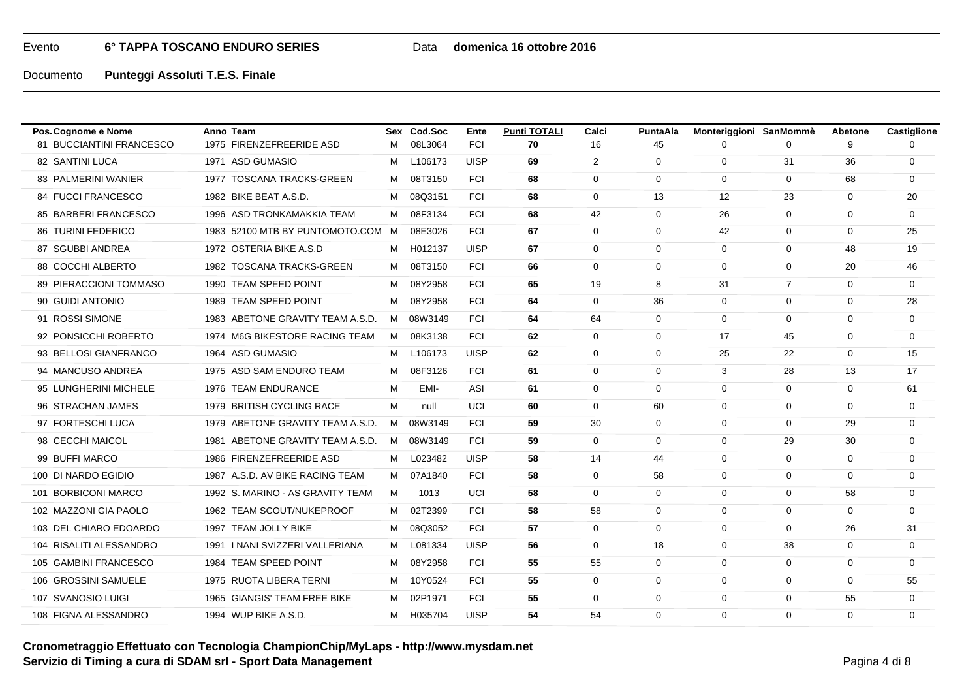## Data **domenica 16 ottobre 2016**

| Pos. Cognome e Nome           | Anno Team                         |   | Sex Cod.Soc | Ente        | <b>Punti TOTALI</b> | Calci          | PuntaAla    | Monteriggioni SanMommè |                | Abetone     | Castiglione |
|-------------------------------|-----------------------------------|---|-------------|-------------|---------------------|----------------|-------------|------------------------|----------------|-------------|-------------|
| 81 BUCCIANTINI FRANCESCO      | 1975 FIRENZEFREERIDE ASD          | M | 08L3064     | <b>FCI</b>  | 70                  | 16             | 45          | 0                      | 0              | 9           |             |
| 82 SANTINI LUCA               | 1971 ASD GUMASIO                  | м | L106173     | <b>UISP</b> | 69                  | $\overline{2}$ | $\mathbf 0$ | $\mathbf 0$            | 31             | 36          | 0           |
| 83 PALMERINI WANIER           | 1977 TOSCANA TRACKS-GREEN         | M | 08T3150     | <b>FCI</b>  | 68                  | 0              | $\Omega$    | $\Omega$               | $\mathbf 0$    | 68          | 0           |
| 84 FUCCI FRANCESCO            | 1982 BIKE BEAT A.S.D.             | M | 08Q3151     | <b>FCI</b>  | 68                  | 0              | 13          | $12 \overline{ }$      | 23             | $\Omega$    | 20          |
| 85 BARBERI FRANCESCO          | 1996 ASD TRONKAMAKKIA TEAM        | М | 08F3134     | <b>FCI</b>  | 68                  | 42             | $\mathbf 0$ | 26                     | $\mathbf 0$    | $\mathbf 0$ | $\mathbf 0$ |
| <b>86 TURINI FEDERICO</b>     | 1983 52100 MTB BY PUNTOMOTO.COM M |   | 08E3026     | <b>FCI</b>  | 67                  | 0              | $\mathbf 0$ | 42                     | 0              | 0           | 25          |
| 87 SGUBBI ANDREA              | 1972 OSTERIA BIKE A.S.D           | M | H012137     | <b>UISP</b> | 67                  | 0              | $\mathbf 0$ | $\mathbf 0$            | 0              | 48          | 19          |
| 88 COCCHI ALBERTO             | 1982 TOSCANA TRACKS-GREEN         | M | 08T3150     | <b>FCI</b>  | 66                  | 0              | $\mathbf 0$ | $\Omega$               | $\mathbf 0$    | 20          | 46          |
| <b>89 PIERACCIONI TOMMASO</b> | 1990 TEAM SPEED POINT             | M | 08Y2958     | <b>FCI</b>  | 65                  | 19             | 8           | 31                     | $\overline{7}$ | $\mathbf 0$ | $\mathbf 0$ |
| 90 GUIDI ANTONIO              | 1989 TEAM SPEED POINT             | M | 08Y2958     | <b>FCI</b>  | 64                  | 0              | 36          | $\Omega$               | 0              | $\Omega$    | 28          |
| 91 ROSSI SIMONE               | 1983 ABETONE GRAVITY TEAM A.S.D.  | M | 08W3149     | <b>FCI</b>  | 64                  | 64             | $\mathbf 0$ | $\Omega$               | $\mathbf 0$    | $\mathbf 0$ | 0           |
| 92 PONSICCHI ROBERTO          | 1974 M6G BIKESTORE RACING TEAM    | M | 08K3138     | <b>FCI</b>  | 62                  | $\Omega$       | $\Omega$    | 17                     | 45             | $\Omega$    | 0           |
| 93 BELLOSI GIANFRANCO         | 1964 ASD GUMASIO                  | M | L106173     | <b>UISP</b> | 62                  | $\mathbf 0$    | $\mathbf 0$ | 25                     | 22             | $\mathbf 0$ | 15          |
| 94 MANCUSO ANDREA             | 1975 ASD SAM ENDURO TEAM          | M | 08F3126     | <b>FCI</b>  | 61                  | 0              | $\Omega$    | 3                      | 28             | 13          | 17          |
| 95 LUNGHERINI MICHELE         | 1976 TEAM ENDURANCE               | м | EMI-        | ASI         | 61                  | 0              | $\mathbf 0$ | $\Omega$               | $\mathbf 0$    | $\Omega$    | 61          |
| 96 STRACHAN JAMES             | 1979 BRITISH CYCLING RACE         | М | null        | UCI         | 60                  | 0              | 60          | $\mathbf 0$            | $\mathbf 0$    | $\mathbf 0$ | $\mathbf 0$ |
| 97 FORTESCHI LUCA             | 1979 ABETONE GRAVITY TEAM A.S.D.  | M | 08W3149     | <b>FCI</b>  | 59                  | 30             | $\Omega$    | $\Omega$               | 0              | 29          | 0           |
| 98 CECCHI MAICOL              | 1981 ABETONE GRAVITY TEAM A.S.D.  | M | 08W3149     | <b>FCI</b>  | 59                  | $\mathbf 0$    | $\mathbf 0$ | $\mathbf 0$            | 29             | 30          | 0           |
| 99 BUFFI MARCO                | 1986 FIRENZEFREERIDE ASD          | M | L023482     | <b>UISP</b> | 58                  | 14             | 44          | 0                      | $\mathbf 0$    | 0           | 0           |
| 100 DI NARDO EGIDIO           | 1987 A.S.D. AV BIKE RACING TEAM   | M | 07A1840     | <b>FCI</b>  | 58                  | 0              | 58          | $\mathbf 0$            | 0              | $\mathbf 0$ | 0           |
| 101 BORBICONI MARCO           | 1992 S. MARINO - AS GRAVITY TEAM  | M | 1013        | UCI         | 58                  | 0              | $\Omega$    | $\Omega$               | $\mathbf 0$    | 58          | 0           |
| 102 MAZZONI GIA PAOLO         | 1962 TEAM SCOUT/NUKEPROOF         | М | 02T2399     | <b>FCI</b>  | 58                  | 58             | $\mathbf 0$ | $\mathbf 0$            | $\mathbf 0$    | $\mathbf 0$ | 0           |
| 103 DEL CHIARO EDOARDO        | 1997 TEAM JOLLY BIKE              | M | 08Q3052     | <b>FCI</b>  | 57                  | $\mathbf 0$    | $\Omega$    | $\Omega$               | 0              | 26          | 31          |
| 104 RISALITI ALESSANDRO       | 1991   NANI SVIZZERI VALLERIANA   | M | L081334     | <b>UISP</b> | 56                  | 0              | 18          | $\Omega$               | 38             | $\Omega$    | $\mathbf 0$ |
| 105 GAMBINI FRANCESCO         | 1984 TEAM SPEED POINT             | M | 08Y2958     | <b>FCI</b>  | 55                  | 55             | $\mathbf 0$ | 0                      | $\mathbf 0$    | 0           | 0           |
| 106 GROSSINI SAMUELE          | 1975 RUOTA LIBERA TERNI           | м | 10Y0524     | <b>FCI</b>  | 55                  | 0              | $\mathbf 0$ | 0                      | 0              | $\Omega$    | 55          |
| 107 SVANOSIO LUIGI            | 1965 GIANGIS' TEAM FREE BIKE      | М | 02P1971     | <b>FCI</b>  | 55                  | 0              | $\mathbf 0$ | $\mathbf 0$            | 0              | 55          | $\mathbf 0$ |
| 108 FIGNA ALESSANDRO          | 1994 WUP BIKE A.S.D.              |   | M H035704   | <b>UISP</b> | 54                  | 54             | $\Omega$    | $\Omega$               | $\Omega$       | $\Omega$    | $\mathbf 0$ |
|                               |                                   |   |             |             |                     |                |             |                        |                |             |             |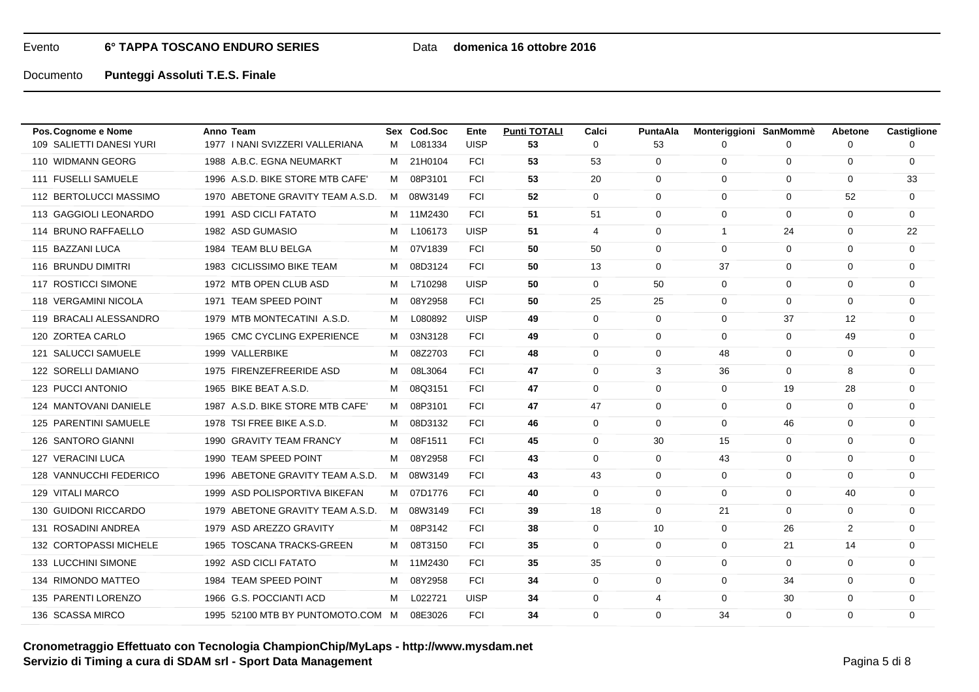## Data **domenica 16 ottobre 2016**

Documento**Punteggi Assoluti T.E.S. Finale**

| Pos. Cognome e Nome      | Anno Team                         |   | Sex Cod.Soc | Ente        | <b>Punti TOTALI</b> | Calci          | <b>PuntaAla</b> | Monteriggioni SanMommè |              | Abetone        | Castiglione |
|--------------------------|-----------------------------------|---|-------------|-------------|---------------------|----------------|-----------------|------------------------|--------------|----------------|-------------|
| 109 SALIETTI DANESI YURI | 1977   NANI SVIZZERI VALLERIANA   | M | L081334     | <b>UISP</b> | 53                  | 0              | 53              | 0                      | 0            | 0              |             |
| 110 WIDMANN GEORG        | 1988 A.B.C. EGNA NEUMARKT         | M | 21H0104     | <b>FCI</b>  | 53                  | 53             | $\mathbf 0$     | $\mathbf 0$            | 0            | $\mathbf 0$    | 0           |
| 111 FUSELLI SAMUELE      | 1996 A.S.D. BIKE STORE MTB CAFE'  | M | 08P3101     | <b>FCI</b>  | 53                  | 20             | $\mathbf 0$     | 0                      | 0            | 0              | 33          |
| 112 BERTOLUCCI MASSIMO   | 1970 ABETONE GRAVITY TEAM A.S.D.  |   | M 08W3149   | <b>FCI</b>  | 52                  | $\mathbf 0$    | $\Omega$        | $\Omega$               | $\mathbf 0$  | 52             | $\mathbf 0$ |
| 113 GAGGIOLI LEONARDO    | 1991 ASD CICLI FATATO             | M | 11M2430     | <b>FCI</b>  | 51                  | 51             | $\mathbf 0$     | $\mathbf 0$            | $\mathbf 0$  | $\mathbf 0$    | 0           |
| 114 BRUNO RAFFAELLO      | 1982 ASD GUMASIO                  | M | L106173     | <b>UISP</b> | 51                  | $\overline{4}$ | $\mathbf 0$     | $\mathbf{1}$           | 24           | $\Omega$       | 22          |
| 115 BAZZANI LUCA         | 1984 TEAM BLU BELGA               | м | 07V1839     | <b>FCI</b>  | 50                  | 50             | $\mathbf 0$     | $\Omega$               | $\mathbf{0}$ | $\Omega$       | $\mathbf 0$ |
| 116 BRUNDU DIMITRI       | 1983 CICLISSIMO BIKE TEAM         | M | 08D3124     | <b>FCI</b>  | 50                  | 13             | $\Omega$        | 37                     | $\mathbf 0$  | $\Omega$       | 0           |
| 117 ROSTICCI SIMONE      | 1972 MTB OPEN CLUB ASD            | M | L710298     | <b>UISP</b> | 50                  | 0              | 50              | 0                      | 0            | 0              | 0           |
| 118 VERGAMINI NICOLA     | 1971 TEAM SPEED POINT             | М | 08Y2958     | <b>FCI</b>  | 50                  | 25             | 25              | $\mathbf 0$            | 0            | $\mathbf 0$    | 0           |
| 119 BRACALI ALESSANDRO   | 1979 MTB MONTECATINI A.S.D.       | M | L080892     | <b>UISP</b> | 49                  | $\mathbf 0$    | $\Omega$        | $\Omega$               | 37           | 12             | 0           |
| 120 ZORTEA CARLO         | 1965 CMC CYCLING EXPERIENCE       | M | 03N3128     | <b>FCI</b>  | 49                  | 0              | $\mathbf 0$     | $\Omega$               | $\mathbf 0$  | 49             | 0           |
| 121 SALUCCI SAMUELE      | 1999 VALLERBIKE                   | M | 08Z2703     | <b>FCI</b>  | 48                  | 0              | $\mathbf 0$     | 48                     | $\mathbf 0$  | 0              | 0           |
| 122 SORELLI DAMIANO      | 1975 FIRENZEFREERIDE ASD          | М | 08L3064     | <b>FCI</b>  | 47                  | 0              | 3               | 36                     | $\mathbf 0$  | 8              | 0           |
| 123 PUCCI ANTONIO        | 1965 BIKE BEAT A.S.D.             | М | 08Q3151     | <b>FCI</b>  | 47                  | 0              | $\mathbf 0$     | 0                      | 19           | 28             | 0           |
| 124 MANTOVANI DANIELE    | 1987 A.S.D. BIKE STORE MTB CAFE'  | M | 08P3101     | <b>FCI</b>  | 47                  | 47             | $\mathbf 0$     | 0                      | $\mathbf 0$  | $\mathbf 0$    | 0           |
| 125 PARENTINI SAMUELE    | 1978 TSI FREE BIKE A.S.D.         | M | 08D3132     | <b>FCI</b>  | 46                  | $\mathbf 0$    | $\mathbf 0$     | $\mathbf 0$            | 46           | $\mathbf 0$    | 0           |
| 126 SANTORO GIANNI       | 1990 GRAVITY TEAM FRANCY          | M | 08F1511     | <b>FCI</b>  | 45                  | 0              | 30              | 15                     | $\mathbf 0$  | $\Omega$       | 0           |
| 127 VERACINI LUCA        | 1990 TEAM SPEED POINT             | м | 08Y2958     | <b>FCI</b>  | 43                  | 0              | $\mathbf 0$     | 43                     | 0            | $\mathbf 0$    | $\mathbf 0$ |
| 128 VANNUCCHI FEDERICO   | 1996 ABETONE GRAVITY TEAM A.S.D.  | M | 08W3149     | <b>FCI</b>  | 43                  | 43             | $\Omega$        | $\Omega$               | 0            | $\Omega$       | 0           |
| 129 VITALI MARCO         | 1999 ASD POLISPORTIVA BIKEFAN     |   | M 07D1776   | <b>FCI</b>  | 40                  | 0              | $\mathbf 0$     | $\Omega$               | $\mathbf 0$  | 40             | 0           |
| 130 GUIDONI RICCARDO     | 1979 ABETONE GRAVITY TEAM A.S.D.  | M | 08W3149     | <b>FCI</b>  | 39                  | 18             | $\mathbf 0$     | 21                     | $\mathbf 0$  | $\mathbf 0$    | 0           |
| 131 ROSADINI ANDREA      | 1979 ASD AREZZO GRAVITY           | M | 08P3142     | <b>FCI</b>  | 38                  | 0              | 10              | $\Omega$               | 26           | $\overline{2}$ | 0           |
| 132 CORTOPASSI MICHELE   | 1965 TOSCANA TRACKS-GREEN         | м | 08T3150     | <b>FCI</b>  | 35                  | $\mathbf 0$    | $\mathbf 0$     | $\Omega$               | 21           | 14             | $\mathbf 0$ |
| 133 LUCCHINI SIMONE      | 1992 ASD CICLI FATATO             | M | 11M2430     | <b>FCI</b>  | 35                  | 35             | $\Omega$        | $\Omega$               | 0            | $\Omega$       | 0           |
| 134 RIMONDO MATTEO       | 1984 TEAM SPEED POINT             | М | 08Y2958     | <b>FCI</b>  | 34                  | 0              | $\mathbf 0$     | 0                      | 34           | 0              | 0           |
| 135 PARENTI LORENZO      | 1966 G.S. POCCIANTI ACD           | м | L022721     | <b>UISP</b> | 34                  | 0              | 4               | $\mathbf 0$            | 30           | $\mathbf 0$    | 0           |
| 136 SCASSA MIRCO         | 1995 52100 MTB BY PUNTOMOTO.COM M |   | 08E3026     | <b>FCI</b>  | 34                  | $\Omega$       | $\Omega$        | 34                     | 0            | $\Omega$       | $\mathbf 0$ |

# **Cronometraggio Effettuato con Tecnologia ChampionChip/MyLaps - http://www.mysdam.netServizio di Timing a cura di SDAM srl - Sport Data Management**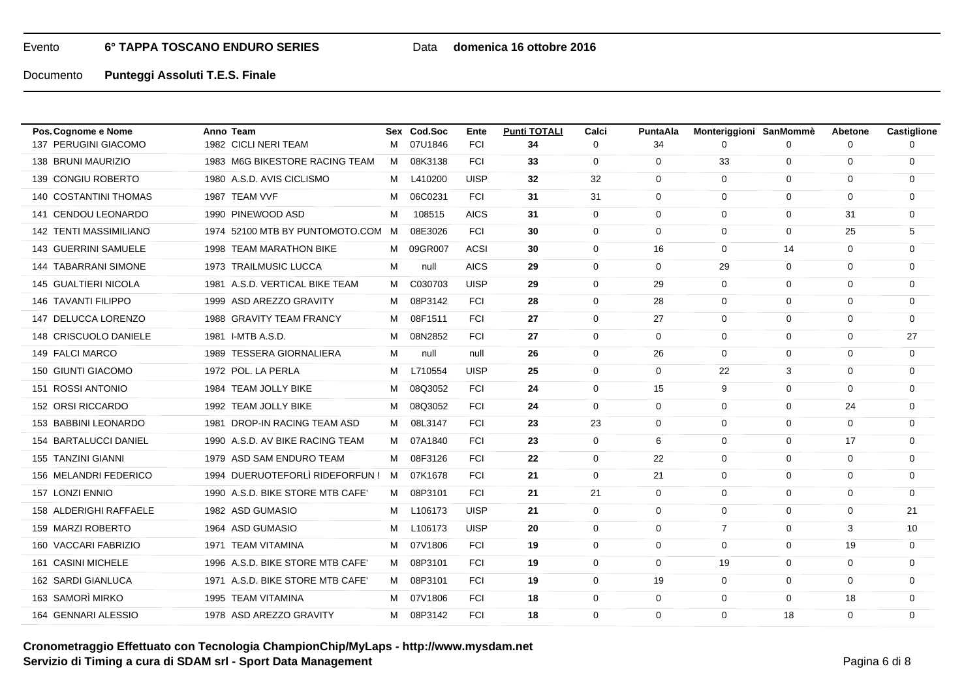## Data **domenica 16 ottobre 2016**

Documento**Punteggi Assoluti T.E.S. Finale**

| Pos. Cognome e Nome           | Anno Team                         |   | Sex Cod.Soc | Ente        | <b>Punti TOTALI</b> | Calci       | <b>PuntaAla</b> | Monteriggioni SanMommè |              | Abetone     | Castiglione |
|-------------------------------|-----------------------------------|---|-------------|-------------|---------------------|-------------|-----------------|------------------------|--------------|-------------|-------------|
| 137 PERUGINI GIACOMO          | 1982 CICLI NERI TEAM              | M | 07U1846     | <b>FCI</b>  | 34                  | 0           | 34              | 0                      | 0            | 0           |             |
| 138 BRUNI MAURIZIO            | 1983 M6G BIKESTORE RACING TEAM    | M | 08K3138     | <b>FCI</b>  | 33                  | 0           | $\mathbf 0$     | 33                     | 0            | $\mathbf 0$ | 0           |
| 139 CONGIU ROBERTO            | 1980 A.S.D. AVIS CICLISMO         | M | L410200     | <b>UISP</b> | 32                  | 32          | $\mathbf 0$     | 0                      | 0            | 0           | 0           |
| <b>140 COSTANTINI THOMAS</b>  | 1987 TEAM VVF                     | M | 06C0231     | <b>FCI</b>  | 31                  | 31          | $\Omega$        | $\Omega$               | $\mathbf 0$  | $\Omega$    | 0           |
| 141 CENDOU LEONARDO           | 1990 PINEWOOD ASD                 | м | 108515      | <b>AICS</b> | 31                  | $\mathbf 0$ | $\mathbf 0$     | $\mathbf 0$            | $\mathbf 0$  | 31          | 0           |
| <b>142 TENTI MASSIMILIANO</b> | 1974 52100 MTB BY PUNTOMOTO.COM M |   | 08E3026     | <b>FCI</b>  | 30                  | 0           | $\Omega$        | $\Omega$               | 0            | 25          | 5           |
| <b>143 GUERRINI SAMUELE</b>   | 1998 TEAM MARATHON BIKE           | M | 09GR007     | <b>ACSI</b> | 30                  | $\mathbf 0$ | 16              | $\Omega$               | 14           | $\mathbf 0$ | $\mathbf 0$ |
| <b>144 TABARRANI SIMONE</b>   | 1973 TRAILMUSIC LUCCA             | м | null        | <b>AICS</b> | 29                  | $\Omega$    | $\Omega$        | 29                     | $\mathbf 0$  | $\Omega$    | 0           |
| 145 GUALTIERI NICOLA          | 1981 A.S.D. VERTICAL BIKE TEAM    | M | C030703     | <b>UISP</b> | 29                  | 0           | 29              | 0                      | 0            | 0           | 0           |
| <b>146 TAVANTI FILIPPO</b>    | 1999 ASD AREZZO GRAVITY           | М | 08P3142     | <b>FCI</b>  | 28                  | 0           | 28              | $\mathbf 0$            | 0            | $\mathbf 0$ | 0           |
| 147 DELUCCA LORENZO           | 1988 GRAVITY TEAM FRANCY          | M | 08F1511     | <b>FCI</b>  | 27                  | 0           | 27              | $\Omega$               | $\mathbf 0$  | $\Omega$    | 0           |
| 148 CRISCUOLO DANIELE         | 1981 I-MTB A.S.D.                 | м | 08N2852     | <b>FCI</b>  | 27                  | 0           | $\mathbf 0$     | $\mathbf 0$            | $\mathbf 0$  | $\mathbf 0$ | 27          |
| 149 FALCI MARCO               | 1989 TESSERA GIORNALIERA          | м | null        | null        | 26                  | 0           | 26              | $\Omega$               | 0            | $\Omega$    | $\mathbf 0$ |
| 150 GIUNTI GIACOMO            | 1972 POL. LA PERLA                | М | L710554     | <b>UISP</b> | 25                  | 0           | $\mathbf 0$     | 22                     | 3            | $\Omega$    | 0           |
| 151 ROSSI ANTONIO             | 1984 TEAM JOLLY BIKE              | М | 08Q3052     | <b>FCI</b>  | 24                  | 0           | 15              | 9                      | $\mathbf 0$  | $\mathbf 0$ | 0           |
| 152 ORSI RICCARDO             | 1992 TEAM JOLLY BIKE              | М | 08Q3052     | <b>FCI</b>  | 24                  | 0           | $\mathbf 0$     | 0                      | 0            | 24          | 0           |
| 153 BABBINI LEONARDO          | 1981 DROP-IN RACING TEAM ASD      | M | 08L3147     | <b>FCI</b>  | 23                  | 23          | $\mathbf 0$     | $\mathbf 0$            | $\mathbf 0$  | $\mathbf 0$ | 0           |
| 154 BARTALUCCI DANIEL         | 1990 A.S.D. AV BIKE RACING TEAM   | M | 07A1840     | <b>FCI</b>  | 23                  | 0           | 6               | $\Omega$               | 0            | 17          | 0           |
| 155 TANZINI GIANNI            | 1979 ASD SAM ENDURO TEAM          | M | 08F3126     | <b>FCI</b>  | 22                  | $\mathbf 0$ | 22              | $\mathbf 0$            | $\mathbf 0$  | $\mathbf 0$ | $\mathbf 0$ |
| 156 MELANDRI FEDERICO         | 1994 DUERUOTEFORLÌ RIDEFORFUN!    | M | 07K1678     | <b>FCI</b>  | 21                  | 0           | 21              | $\Omega$               | 0            | $\Omega$    | 0           |
| 157 LONZI ENNIO               | 1990 A.S.D. BIKE STORE MTB CAFE'  | M | 08P3101     | <b>FCI</b>  | 21                  | 21          | $\mathbf 0$     | $\Omega$               | $\mathbf 0$  | $\Omega$    | $\mathbf 0$ |
| 158 ALDERIGHI RAFFAELE        | 1982 ASD GUMASIO                  | м | L106173     | <b>UISP</b> | 21                  | $\mathbf 0$ | $\mathbf 0$     | $\mathbf 0$            | $\mathbf 0$  | $\mathbf 0$ | 21          |
| 159 MARZI ROBERTO             | 1964 ASD GUMASIO                  | M | L106173     | <b>UISP</b> | 20                  | 0           | $\mathbf 0$     | $\overline{7}$         | 0            | 3           | 10          |
| 160 VACCARI FABRIZIO          | 1971 TEAM VITAMINA                | М | 07V1806     | <b>FCI</b>  | 19                  | $\mathbf 0$ | $\mathbf 0$     | $\Omega$               | $\mathbf{0}$ | 19          | $\mathbf 0$ |
| 161 CASINI MICHELE            | 1996 A.S.D. BIKE STORE MTB CAFE'  | M | 08P3101     | <b>FCI</b>  | 19                  | $\Omega$    | $\Omega$        | 19                     | $\mathbf 0$  | $\Omega$    | 0           |
| 162 SARDI GIANLUCA            | 1971 A.S.D. BIKE STORE MTB CAFE'  | M | 08P3101     | <b>FCI</b>  | 19                  | 0           | 19              | 0                      | 0            | 0           | 0           |
| 163 SAMORÌ MIRKO              | 1995 TEAM VITAMINA                | М | 07V1806     | <b>FCI</b>  | 18                  | 0           | 0               | $\mathbf 0$            | 0            | 18          | 0           |
| 164 GENNARI ALESSIO           | 1978 ASD AREZZO GRAVITY           |   | M 08P3142   | <b>FCI</b>  | 18                  | $\Omega$    | $\Omega$        | $\Omega$               | 18           | $\Omega$    | $\mathbf 0$ |

**Cronometraggio Effettuato con Tecnologia ChampionChip/MyLaps - http://www.mysdam.netServizio di Timing a cura di SDAM srl - Sport Data Management**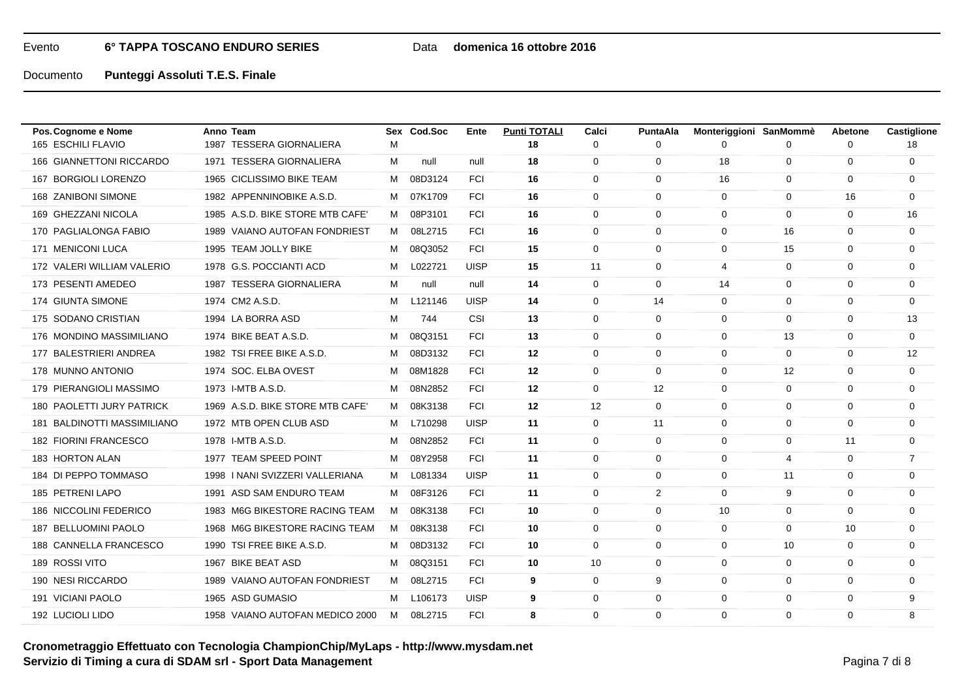## Data **domenica 16 ottobre 2016**

Documento**Punteggi Assoluti T.E.S. Finale**

| Pos. Cognome e Nome            | Anno Team                        |   | Sex Cod.Soc | Ente        | <b>Punti TOTALI</b> | Calci       | <b>PuntaAla</b> | Monteriggioni SanMommè |                   | <b>Abetone</b> | Castiglione    |
|--------------------------------|----------------------------------|---|-------------|-------------|---------------------|-------------|-----------------|------------------------|-------------------|----------------|----------------|
| 165 ESCHILI FLAVIO             | 1987 TESSERA GIORNALIERA         | м |             |             | 18                  | $\Omega$    | $\Omega$        | 0                      | 0                 | $\Omega$       | 18             |
| 166 GIANNETTONI RICCARDO       | 1971 TESSERA GIORNALIERA         | м | null        | null        | 18                  | $\mathbf 0$ | $\mathbf 0$     | 18                     | 0                 | $\mathbf 0$    | $\mathbf 0$    |
| <b>BORGIOLI LORENZO</b><br>167 | 1965 CICLISSIMO BIKE TEAM        | М | 08D3124     | <b>FCI</b>  | 16                  | 0           | $\Omega$        | 16                     | $\mathbf 0$       | $\Omega$       | 0              |
| 168 ZANIBONI SIMONE            | 1982 APPENNINOBIKE A.S.D.        | M | 07K1709     | <b>FCI</b>  | 16                  | 0           | $\Omega$        | $\Omega$               | $\mathbf 0$       | 16             | 0              |
| 169 GHEZZANI NICOLA            | 1985 A.S.D. BIKE STORE MTB CAFE' | м | 08P3101     | <b>FCI</b>  | 16                  | $\mathbf 0$ | $\mathbf 0$     | $\mathbf 0$            | $\mathbf 0$       | $\mathbf 0$    | 16             |
| 170 PAGLIALONGA FABIO          | 1989 VAIANO AUTOFAN FONDRIEST    | M | 08L2715     | <b>FCI</b>  | 16                  | 0           | $\mathbf 0$     | $\Omega$               | 16                | $\Omega$       | 0              |
| 171 MENICONI LUCA              | 1995 TEAM JOLLY BIKE             | М | 08Q3052     | <b>FCI</b>  | 15                  | $\mathbf 0$ | $\mathbf 0$     | $\mathbf 0$            | 15                | 0              | 0              |
| 172 VALERI WILLIAM VALERIO     | 1978 G.S. POCCIANTI ACD          | M | L022721     | <b>UISP</b> | 15                  | 11          | $\mathbf 0$     | 4                      | $\mathbf 0$       | $\Omega$       | 0              |
| 173 PESENTI AMEDEO             | 1987 TESSERA GIORNALIERA         | М | null        | null        | 14                  | 0           | $\mathbf 0$     | 14                     | 0                 | $\mathbf 0$    | 0              |
| 174 GIUNTA SIMONE              | 1974 CM2 A.S.D.                  | м | L121146     | <b>UISP</b> | 14                  | 0           | 14              | $\Omega$               | 0                 | $\Omega$       | 0              |
| 175 SODANO CRISTIAN            | 1994 LA BORRA ASD                | M | 744         | CSI         | 13                  | $\mathbf 0$ | $\mathbf 0$     | $\Omega$               | $\mathbf 0$       | $\Omega$       | 13             |
| 176 MONDINO MASSIMILIANO       | 1974 BIKE BEAT A.S.D.            | м | 08Q3151     | <b>FCI</b>  | 13                  | $\Omega$    | $\Omega$        | $\Omega$               | 13                | $\Omega$       | $\mathbf 0$    |
| 177 BALESTRIERI ANDREA         | 1982 TSI FREE BIKE A.S.D.        | м | 08D3132     | <b>FCI</b>  | 12                  | $\mathbf 0$ | $\mathbf 0$     | $\mathbf 0$            | 0                 | $\mathbf 0$    | 12             |
| 178 MUNNO ANTONIO              | 1974 SOC. ELBA OVEST             | м | 08M1828     | <b>FCI</b>  | 12                  | $\mathbf 0$ | $\Omega$        | $\Omega$               | $12 \overline{ }$ | $\Omega$       | $\mathbf 0$    |
| 179 PIERANGIOLI MASSIMO        | 1973 I-MTB A.S.D.                | M | 08N2852     | <b>FCI</b>  | $12 \,$             | 0           | 12              | $\Omega$               | 0                 | $\Omega$       | 0              |
| 180 PAOLETTI JURY PATRICK      | 1969 A.S.D. BIKE STORE MTB CAFE' | M | 08K3138     | <b>FCI</b>  | 12                  | 12          | $\mathbf 0$     | $\mathbf 0$            | $\mathbf 0$       | $\mathbf 0$    | 0              |
| 181 BALDINOTTI MASSIMILIANO    | 1972 MTB OPEN CLUB ASD           | M | L710298     | <b>UISP</b> | 11                  | $\mathbf 0$ | 11              | $\Omega$               | 0                 | $\Omega$       | 0              |
| 182 FIORINI FRANCESCO          | 1978 I-MTB A.S.D.                | M | 08N2852     | <b>FCI</b>  | 11                  | 0           | $\mathbf 0$     | $\Omega$               | 0                 | 11             | 0              |
| 183 HORTON ALAN                | 1977 TEAM SPEED POINT            | м | 08Y2958     | <b>FCI</b>  | 11                  | $\mathbf 0$ | $\mathbf 0$     | 0                      | $\overline{4}$    | $\mathbf 0$    | $\overline{7}$ |
| 184 DI PEPPO TOMMASO           | 1998   NANI SVIZZERI VALLERIANA  | M | L081334     | <b>UISP</b> | 11                  | 0           | $\mathbf 0$     | $\mathbf 0$            | 11                | $\mathbf 0$    | $\mathbf 0$    |
| 185 PETRENI LAPO               | 1991 ASD SAM ENDURO TEAM         | M | 08F3126     | <b>FCI</b>  | 11                  | 0           | $\overline{2}$  | $\Omega$               | 9                 | $\Omega$       | 0              |
| 186 NICCOLINI FEDERICO         | 1983 M6G BIKESTORE RACING TEAM   | M | 08K3138     | <b>FCI</b>  | 10                  | $\mathbf 0$ | $\mathbf 0$     | 10                     | $\mathbf 0$       | $\mathbf 0$    | 0              |
| 187 BELLUOMINI PAOLO           | 1968 M6G BIKESTORE RACING TEAM   | M | 08K3138     | <b>FCI</b>  | 10                  | $\mathbf 0$ | $\Omega$        | $\Omega$               | 0                 | 10             | 0              |
| 188 CANNELLA FRANCESCO         | 1990 TSI FREE BIKE A.S.D.        | м | 08D3132     | <b>FCI</b>  | 10                  | $\Omega$    | $\Omega$        | $\Omega$               | 10                | $\Omega$       | $\mathbf 0$    |
| 189 ROSSI VITO                 | 1967 BIKE BEAT ASD               | M | 08Q3151     | <b>FCI</b>  | 10                  | 10          | $\mathbf 0$     | 0                      | $\mathbf 0$       | 0              | 0              |
| 190 NESI RICCARDO              | 1989 VAIANO AUTOFAN FONDRIEST    | M | 08L2715     | <b>FCI</b>  | 9                   | 0           | 9               | 0                      | $\mathbf 0$       | 0              | 0              |
| 191 VICIANI PAOLO              | 1965 ASD GUMASIO                 | М | L106173     | <b>UISP</b> | 9                   | 0           | $\mathbf 0$     | $\mathbf 0$            | 0                 | $\mathbf 0$    | 9              |
| 192 LUCIOLI LIDO               | 1958 VAIANO AUTOFAN MEDICO 2000  | M | 08L2715     | <b>FCI</b>  | 8                   | $\Omega$    | $\Omega$        | $\Omega$               | $\Omega$          | $\Omega$       | 8              |

**Cronometraggio Effettuato con Tecnologia ChampionChip/MyLaps - http://www.mysdam.netServizio di Timing a cura di SDAM srl - Sport Data Management**